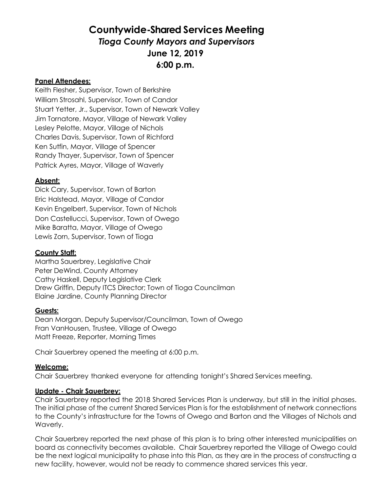### **Countywide-Shared Services Meeting** *Tioga County Mayors and Supervisors* **June 12, 2019 6:00 p.m.**

#### **Panel Attendees:**

Keith Flesher, Supervisor, Town of Berkshire William Strosahl, Supervisor, Town of Candor Stuart Yetter, Jr., Supervisor, Town of Newark Valley Jim Tornatore, Mayor, Village of Newark Valley Lesley Pelotte, Mayor, Village of Nichols Charles Davis, Supervisor, Town of Richford Ken Sutfin, Mayor, Village of Spencer Randy Thayer, Supervisor, Town of Spencer Patrick Ayres, Mayor, Village of Waverly

#### **Absent:**

Dick Cary, Supervisor, Town of Barton Eric Halstead, Mayor, Village of Candor Kevin Engelbert, Supervisor, Town of Nichols Don Castellucci, Supervisor, Town of Owego Mike Baratta, Mayor, Village of Owego Lewis Zorn, Supervisor, Town of Tioga

#### **County Staff:**

Martha Sauerbrey, Legislative Chair Peter DeWind, County Attorney Cathy Haskell, Deputy Legislative Clerk Drew Griffin, Deputy ITCS Director; Town of Tioga Councilman Elaine Jardine, County Planning Director

#### **Guests:**

Dean Morgan, Deputy Supervisor/Councilman, Town of Owego Fran VanHousen, Trustee, Village of Owego Matt Freeze, Reporter, Morning Times

Chair Sauerbrey opened the meeting at 6:00 p.m.

#### **Welcome:**

Chair Sauerbrey thanked everyone for attending tonight's Shared Services meeting.

#### **Update - Chair Sauerbrey:**

Chair Sauerbrey reported the 2018 Shared Services Plan is underway, but still in the initial phases. The initial phase of the current Shared Services Plan is for the establishment of network connections to the County's infrastructure for the Towns of Owego and Barton and the Villages of Nichols and Waverly.

Chair Sauerbrey reported the next phase of this plan is to bring other interested municipalities on board as connectivity becomes available. Chair Sauerbrey reported the Village of Owego could be the next logical municipality to phase into this Plan, as they are in the process of constructing a new facility, however, would not be ready to commence shared services this year.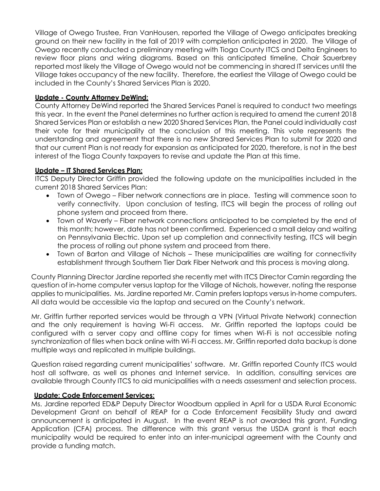Village of Owego Trustee, Fran VanHousen, reported the Village of Owego anticipates breaking ground on their new facility in the fall of 2019 with completion anticipated in 2020. The Village of Owego recently conducted a preliminary meeting with Tioga County ITCS and Delta Engineers to review floor plans and wiring diagrams. Based on this anticipated timeline, Chair Sauerbrey reported most likely the Village of Owego would not be commencing in shared IT services until the Village takes occupancy of the new facility. Therefore, the earliest the Village of Owego could be included in the County's Shared Services Plan is 2020.

#### **Update - County Attorney DeWind:**

County Attorney DeWind reported the Shared Services Panel is required to conduct two meetings this year. In the event the Panel determines no further action is required to amend the current 2018 Shared Services Plan or establish a new 2020 Shared Services Plan, the Panel could individually cast their vote for their municipality at the conclusion of this meeting. This vote represents the understanding and agreement that there is no new Shared Services Plan to submit for 2020 and that our current Plan is not ready for expansion as anticipated for 2020, therefore, is not in the best interest of the Tioga County taxpayers to revise and update the Plan at this time.

#### **Update – IT Shared Services Plan:**

ITCS Deputy Director Griffin provided the following update on the municipalities included in the current 2018 Shared Services Plan:

- Town of Owego Fiber network connections are in place. Testing will commence soon to verify connectivity. Upon conclusion of testing, ITCS will begin the process of rolling out phone system and proceed from there.
- Town of Waverly Fiber network connections anticipated to be completed by the end of this month; however, date has not been confirmed. Experienced a small delay and waiting on Pennsylvania Electric. Upon set up completion and connectivity testing, ITCS will begin the process of rolling out phone system and proceed from there.
- Town of Barton and Village of Nichols These municipalities are waiting for connectivity establishment through Southern Tier Dark Fiber Network and this process is moving along.

County Planning Director Jardine reported she recently met with ITCS Director Camin regarding the question of in-home computer versus laptop for the Village of Nichols, however, noting the response applies to municipalities. Ms. Jardine reported Mr. Camin prefers laptops versus in-home computers. All data would be accessible via the laptop and secured on the County's network.

Mr. Griffin further reported services would be through a VPN (Virtual Private Network) connection and the only requirement is having Wi-Fi access. Mr. Griffin reported the laptops could be configured with a server copy and offline copy for times when Wi-Fi is not accessible noting synchronization of files when back online with Wi-Fi access. Mr. Griffin reported data backup is done multiple ways and replicated in multiple buildings.

Question raised regarding current municipalities' software. Mr. Griffin reported County ITCS would host all software, as well as phones and Internet service. In addition, consulting services are available through County ITCS to aid municipalities with a needs assessment and selection process.

#### **Update: Code Enforcement Services:**

Ms. Jardine reported ED&P Deputy Director Woodburn applied in April for a USDA Rural Economic Development Grant on behalf of REAP for a Code Enforcement Feasibility Study and award announcement is anticipated in August. In the event REAP is not awarded this grant, Funding Application (CFA) process. The difference with this grant versus the USDA grant is that each municipality would be required to enter into an inter-municipal agreement with the County and provide a funding match.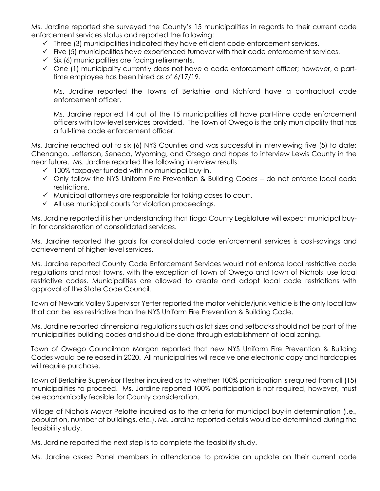Ms. Jardine reported she surveyed the County's 15 municipalities in regards to their current code enforcement services status and reported the following:

- $\checkmark$  Three (3) municipalities indicated they have efficient code enforcement services.
- $\checkmark$  Five (5) municipalities have experienced turnover with their code enforcement services.
- $\checkmark$  Six (6) municipalities are facing retirements.
- $\checkmark$  One (1) municipality currently does not have a code enforcement officer; however, a parttime employee has been hired as of 6/17/19.

Ms. Jardine reported the Towns of Berkshire and Richford have a contractual code enforcement officer.

Ms. Jardine reported 14 out of the 15 municipalities all have part-time code enforcement officers with low-level services provided. The Town of Owego is the only municipality that has a full-time code enforcement officer.

Ms. Jardine reached out to six (6) NYS Counties and was successful in interviewing five (5) to date: Chenango, Jefferson, Seneca, Wyoming, and Otsego and hopes to interview Lewis County in the near future. Ms. Jardine reported the following interview results:

- $\checkmark$  100% taxpayer funded with no municipal buy-in.
- $\checkmark$  Only follow the NYS Uniform Fire Prevention & Building Codes do not enforce local code restrictions.
- $\checkmark$  Municipal attorneys are responsible for taking cases to court.
- $\checkmark$  All use municipal courts for violation proceedings.

Ms. Jardine reported it is her understanding that Tioga County Legislature will expect municipal buyin for consideration of consolidated services.

Ms. Jardine reported the goals for consolidated code enforcement services is cost-savings and achievement of higher-level services.

Ms. Jardine reported County Code Enforcement Services would not enforce local restrictive code regulations and most towns, with the exception of Town of Owego and Town of Nichols, use local restrictive codes. Municipalities are allowed to create and adopt local code restrictions with approval of the State Code Council.

Town of Newark Valley Supervisor Yetter reported the motor vehicle/junk vehicle is the only local law that can be less restrictive than the NYS Uniform Fire Prevention & Building Code.

Ms. Jardine reported dimensional regulations such as lot sizes and setbacks should not be part of the municipalities building codes and should be done through establishment of local zoning.

Town of Owego Councilman Morgan reported that new NYS Uniform Fire Prevention & Building Codes would be released in 2020. All municipalities will receive one electronic copy and hardcopies will require purchase.

Town of Berkshire Supervisor Flesher inquired as to whether 100% participation is required from all (15) municipalities to proceed. Ms. Jardine reported 100% participation is not required, however, must be economically feasible for County consideration.

Village of Nichols Mayor Pelotte inquired as to the criteria for municipal buy-in determination (i.e., population, number of buildings, etc.). Ms. Jardine reported details would be determined during the feasibility study.

Ms. Jardine reported the next step is to complete the feasibility study.

Ms. Jardine asked Panel members in attendance to provide an update on their current code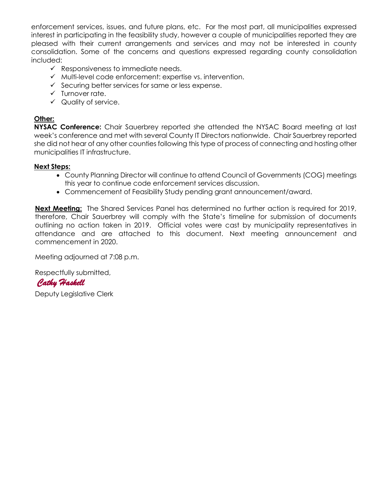enforcement services, issues, and future plans, etc. For the most part, all municipalities expressed interest in participating in the feasibility study, however a couple of municipalities reported they are pleased with their current arrangements and services and may not be interested in county consolidation. Some of the concerns and questions expressed regarding county consolidation included:

- $\checkmark$  Responsiveness to immediate needs.
- $\checkmark$  Multi-level code enforcement: expertise vs. intervention.
- $\checkmark$  Securing better services for same or less expense.
- $\checkmark$  Turnover rate.
- $\checkmark$  Quality of service.

#### **Other:**

**NYSAC Conference:** Chair Sauerbrey reported she attended the NYSAC Board meeting at last week's conference and met with several County IT Directors nationwide. Chair Sauerbrey reported she did not hear of any other counties following this type of process of connecting and hosting other municipalities IT infrastructure.

#### **Next Steps:**

- County Planning Director will continue to attend Council of Governments (COG) meetings this year to continue code enforcement services discussion.
- Commencement of Feasibility Study pending grant announcement/award.

**Next Meeting:** The Shared Services Panel has determined no further action is required for 2019, therefore, Chair Sauerbrey will comply with the State's timeline for submission of documents outlining no action taken in 2019. Official votes were cast by municipality representatives in attendance and are attached to this document. Next meeting announcement and commencement in 2020.

Meeting adjourned at 7:08 p.m.

Respectfully submitted,

 *Cathy Haskell* 

Deputy Legislative Clerk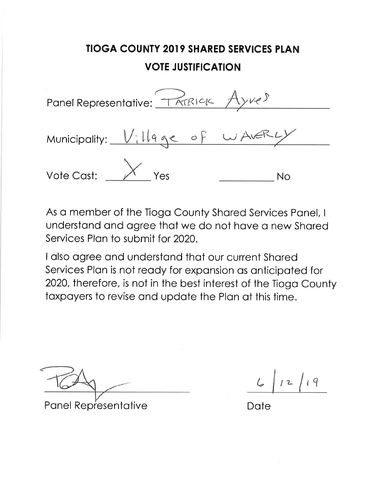Panel Representative: TATRICK Ayves Municipality: Village of WAVER Yes Vote Cast: **No** 

As a member of the Tioga County Shared Services Panel, I understand and agree that we do not have a new Shared Services Plan to submit for 2020.

I also agree and understand that our current Shared Services Plan is not ready for expansion as anticipated for 2020, therefore, is not in the best interest of the Tioga County taxpayers to revise and update the Plan at this time.

**Panel Representative** 

 $12$ 

Date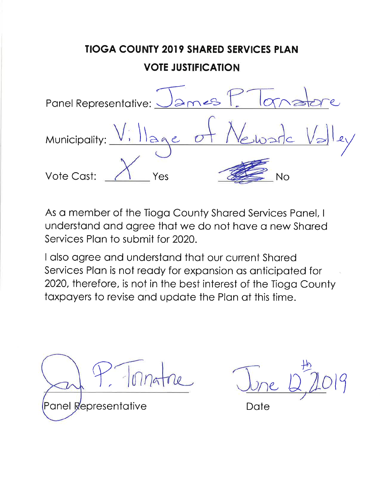# **TIOGA COUNTY 2019 SHARED SERVICES PLAN VOTE JUSTIFICATION**  $ames$ Panel Representative: Municipality:  $1292$ Vote Cast: Yes  $No$

As a member of the Tioga County Shared Services Panel, I understand and agree that we do not have a new Shared Services Plan to submit for 2020.

Panel Representative

Date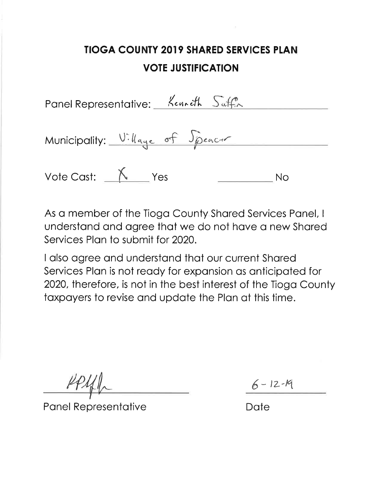| Panel Representative: Kenneth Suffin |    |
|--------------------------------------|----|
| Municipality: Village of Speacer     |    |
| Vote Cast: $\_\_\_\_\_\$ Yes         | Nο |

As a member of the Tioga County Shared Services Panel, I understand and agree that we do not have a new Shared Services Plan to submit for 2020.

I also agree and understand that our current Shared Services Plan is not ready for expansion as anticipated for 2020, therefore, is not in the best interest of the Tioga County taxpayers to revise and update the Plan at this time.

**Panel Representative** 

 $6 - 12 - 19$ 

Date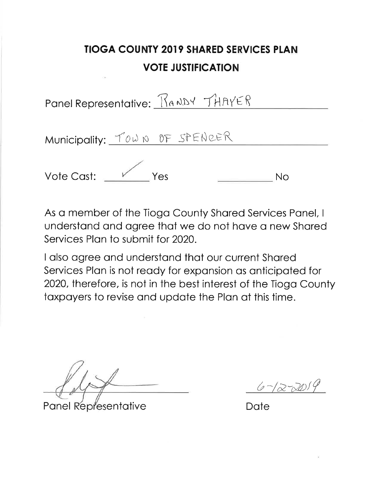| Panel Representative: RANDY THAYER |    |
|------------------------------------|----|
| Municipality: TOWN OF SPENCER      |    |
| Vote Cast: Ves                     | Nο |

As a member of the Tioga County Shared Services Panel, I understand and agree that we do not have a new Shared Services Plan to submit for 2020.

Panel Representative

 $6 - (2 - 20)9$ 

Date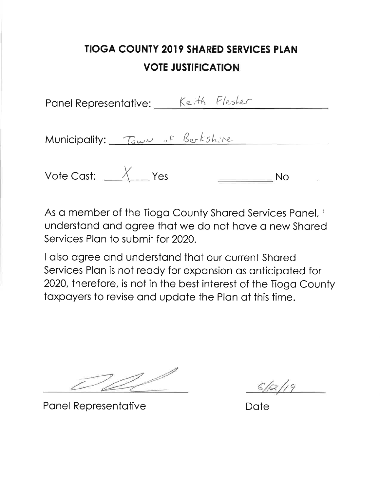Panel Representative: Keith Flesher

Municipality: Town of Berkshire

Vote Cast:  $\frac{\chi}{\chi}$  Yes **No** 

As a member of the Tioga County Shared Services Panel, I understand and agree that we do not have a new Shared Services Plan to submit for 2020.

**Panel Representative** 

Date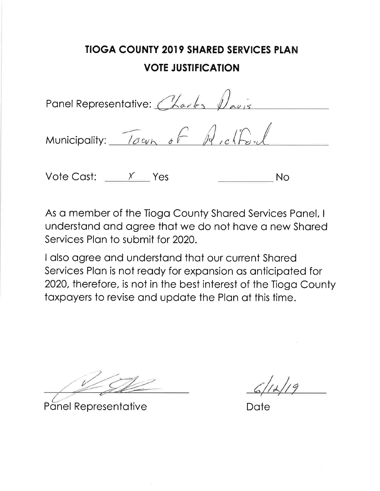Panel Representative: Charles Davis Municipality: Town of A,clf

Vote Cast:  $\frac{x}{1}$  Yes

No

As a member of the Tioga County Shared Services Panel, I understand and agree that we do not have a new Shared Services Plan to submit for 2020.

**Panel Representative** 

Date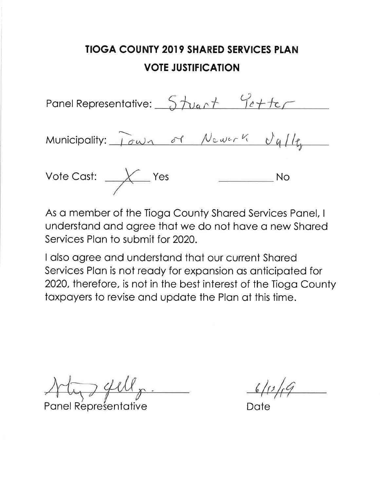Panel Representative: 5 tuant Petter Municipality: Town of Newerk Valle Vote Cast:  $\frac{1}{\sqrt{2}}$  Yes  $\overline{\phantom{a}}$  No

As a member of the Tioga County Shared Services Panel, I understand and agree that we do not have a new Shared Services Plan to submit for 2020.

**Panel Representative** 

Date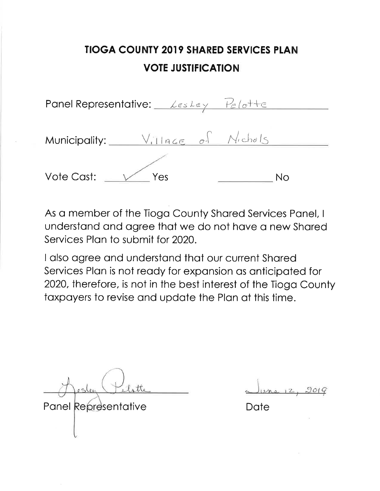| Panel Representative: Les Ley Pelotte |    |
|---------------------------------------|----|
| Municipality: Village of Michals      |    |
| Vote Cast:<br>Yes                     | Nο |

As a member of the Tioga County Shared Services Panel, I understand and agree that we do not have a new Shared Services Plan to submit for 2020.

I also agree and understand that our current Shared Services Plan is not ready for expansion as anticipated for 2020, therefore, is not in the best interest of the Tioga County taxpayers to revise and update the Plan at this time.

Panel Representative

 $1014$ 

Date